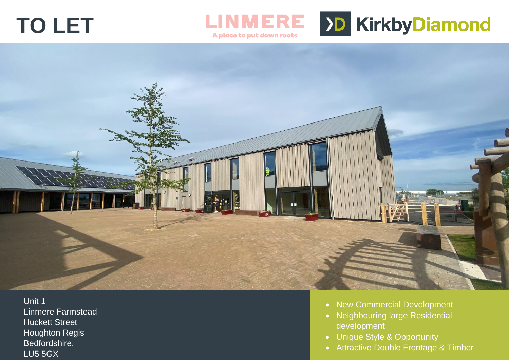# **TO LET**



#### A place to put down roots



Unit 1 Linmere Farmstead Huckett Street Houghton Regis Bedfordshire, LU5 5GX

- New Commercial Development
- Neighbouring large Residential development
- Unique Style & Opportunity
- Attractive Double Frontage & Timber